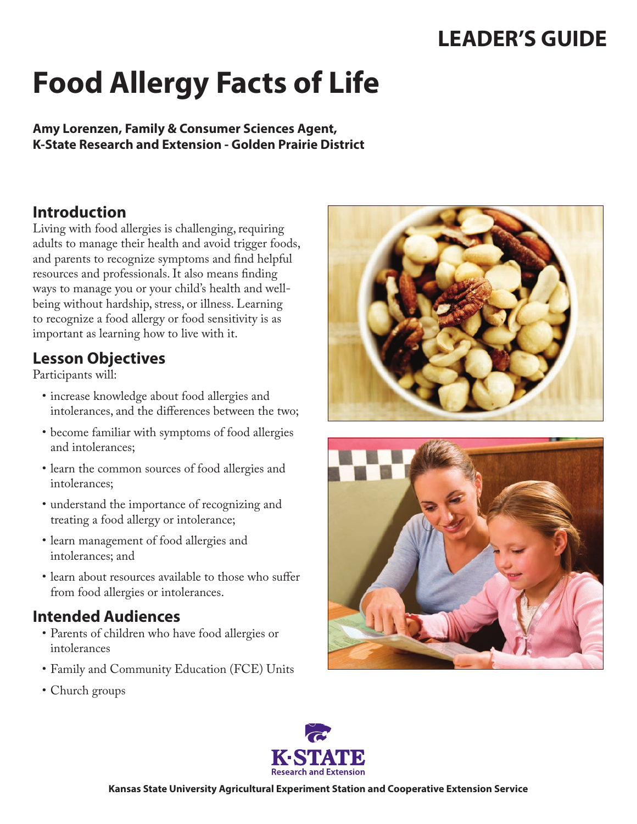## **LEADER'S GUIDE**

# **Food Allergy Facts of Life**

**Amy Lorenzen, Family & Consumer Sciences Agent, K-State Research and Extension - Golden Prairie District**

## **Introduction**

Living with food allergies is challenging, requiring adults to manage their health and avoid trigger foods, and parents to recognize symptoms and find helpful resources and professionals. It also means finding ways to manage you or your child's health and wellbeing without hardship, stress, or illness. Learning to recognize a food allergy or food sensitivity is as important as learning how to live with it.

#### **Lesson Objectives**

Participants will:

- • increase knowledge about food allergies and intolerances, and the differences between the two;
- • become familiar with symptoms of food allergies and intolerances;
- • learn the common sources of food allergies and intolerances;
- • understand the importance of recognizing and treating a food allergy or intolerance;
- • learn management of food allergies and intolerances; and
- learn about resources available to those who suffer from food allergies or intolerances.

#### **Intended Audiences**

- • Parents of children who have food allergies or intolerances
- Family and Community Education (FCE) Units
- Church groups





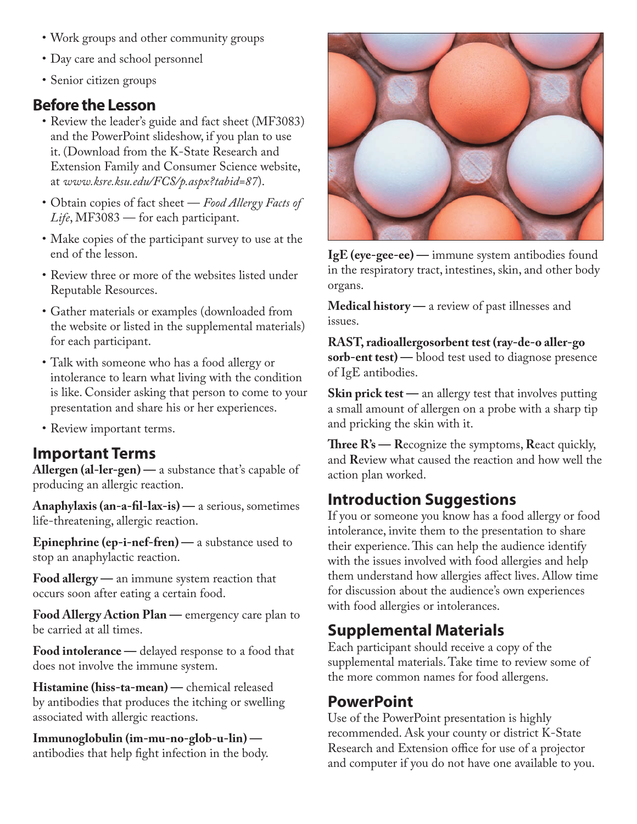- • Work groups and other community groups
- Day care and school personnel
- Senior citizen groups

#### **Before the Lesson**

- Review the leader's guide and fact sheet (MF3083) and the PowerPoint slideshow, if you plan to use it. (Download from the K-State Research and Extension Family and Consumer Science website, at *[www.ksre.ksu.edu/FCS/p.aspx?tabid=87](http://www.ksre.ksu.edu/FCS/p.aspx?tabid=87)*).
- • Obtain copies of fact sheet *Food Allergy Facts of Life*, MF3083 — for each participant.
- Make copies of the participant survey to use at the end of the lesson.
- • Review three or more of the websites listed under Reputable Resources.
- Gather materials or examples (downloaded from the website or listed in the supplemental materials) for each participant.
- Talk with someone who has a food allergy or intolerance to learn what living with the condition is like. Consider asking that person to come to your presentation and share his or her experiences.
- Review important terms.

#### **Important Terms**

**Allergen (al-ler-gen) —** a substance that's capable of producing an allergic reaction.

**Anaphylaxis (an-a-fil-lax-is) —** a serious, sometimes life-threatening, allergic reaction.

**Epinephrine (ep-i-nef-fren)** — a substance used to stop an anaphylactic reaction.

**Food allergy —** an immune system reaction that occurs soon after eating a certain food.

**Food Allergy Action Plan —** emergency care plan to be carried at all times.

**Food intolerance —** delayed response to a food that does not involve the immune system.

**Histamine (hiss-ta-mean) —** chemical released by antibodies that produces the itching or swelling associated with allergic reactions.

**Immunoglobulin (im-mu-no-glob-u-lin)**  antibodies that help fight infection in the body.



**IgE (eye-gee-ee) —** immune system antibodies found in the respiratory tract, intestines, skin, and other body organs.

**Medical history —** a review of past illnesses and issues.

**RAST, radioallergosorbent test (ray-de-o aller-go sorb-ent test) —** blood test used to diagnose presence of IgE antibodies.

**Skin prick test** — an allergy test that involves putting a small amount of allergen on a probe with a sharp tip and pricking the skin with it.

**Three R's — R**ecognize the symptoms, **R**eact quickly, and **R**eview what caused the reaction and how well the action plan worked.

#### **Introduction Suggestions**

If you or someone you know has a food allergy or food intolerance, invite them to the presentation to share their experience. This can help the audience identify with the issues involved with food allergies and help them understand how allergies affect lives. Allow time for discussion about the audience's own experiences with food allergies or intolerances.

## **Supplemental Materials**

Each participant should receive a copy of the supplemental materials. Take time to review some of the more common names for food allergens.

#### **PowerPoint**

Use of the PowerPoint presentation is highly recommended. Ask your county or district K-State Research and Extension office for use of a projector and computer if you do not have one available to you.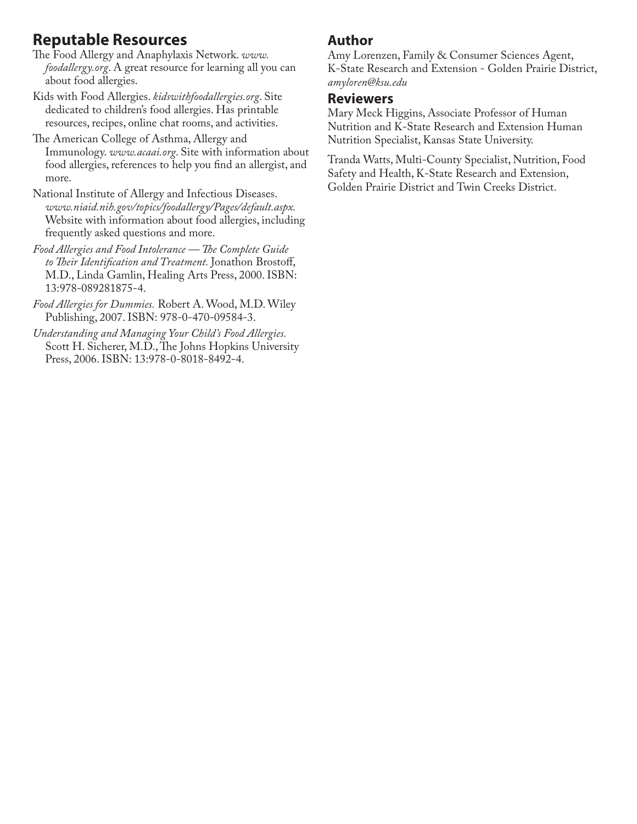## **Reputable Resources**

- The Food Allergy and Anaphylaxis Network. *www. foodallergy.org*. A great resource for learning all you can about food allergies.
- Kids with Food Allergies. *[kidswithfoodallergies.org](http://community.kidswithfoodallergies.org/pages/community)*. Site dedicated to children's food allergies. Has printable resources, recipes, online chat rooms, and activities.
- The American College of Asthma, Allergy and Immunology. *[www.acaai.org](http://www.acaai.org/)*. Site with information about food allergies, references to help you find an allergist, and more.
- National Institute of Allergy and Infectious Diseases. *[www.niaid.nih.gov/topics/foodallergy/Pages/default.aspx.](http://www.niaid.nih.gov/topics/foodallergy/Pages/default.aspx)* Website with information about food allergies, including frequently asked questions and more.
- *Food Allergies and Food Intolerance The Complete Guide to Their Identification and Treatment.* Jonathon Brostoff, M.D., Linda Gamlin, Healing Arts Press, 2000. ISBN: 13:978-089281875-4.
- *Food Allergies for Dummies.* Robert A. Wood, M.D. Wiley Publishing, 2007. ISBN: 978-0-470-09584-3.
- *Understanding and Managing Your Child's Food Allergies.*  Scott H. Sicherer, M.D., The Johns Hopkins University Press, 2006. ISBN: 13:978-0-8018-8492-4.

#### **Author**

Amy Lorenzen, Family & Consumer Sciences Agent, K-State Research and Extension - Golden Prairie District, *amyloren@ksu.edu*

#### **Reviewers**

Mary Meck Higgins, Associate Professor of Human Nutrition and K-State Research and Extension Human Nutrition Specialist, Kansas State University.

Tranda Watts, Multi-County Specialist, Nutrition, Food Safety and Health, K-State Research and Extension, Golden Prairie District and Twin Creeks District.